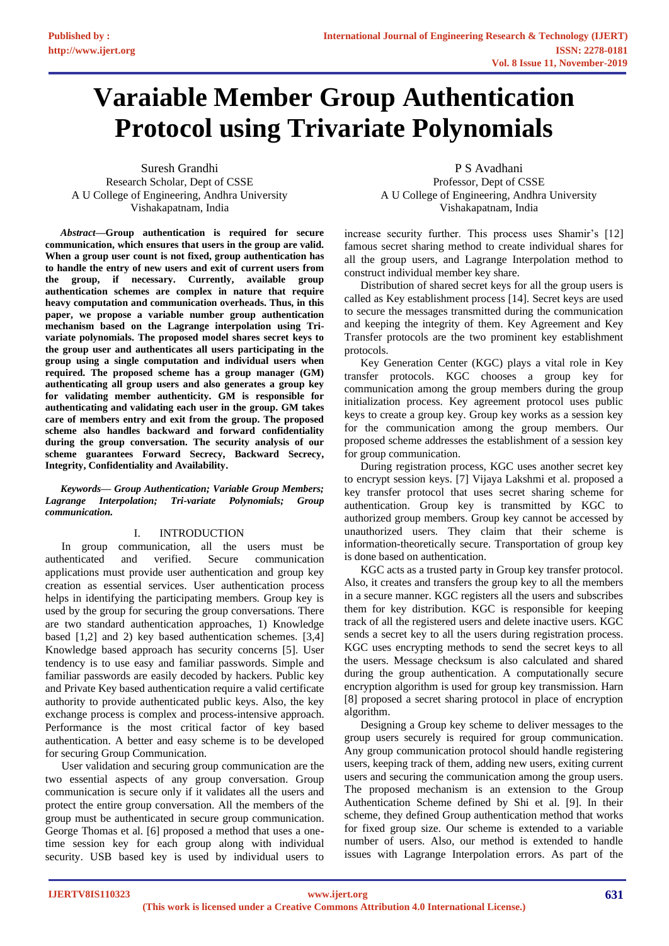# **Varaiable Member Group Authentication Protocol using Trivariate Polynomials**

Suresh Grandhi Research Scholar, Dept of CSSE A U College of Engineering, Andhra University Vishakapatnam, India

*Abstract***—Group authentication is required for secure communication, which ensures that users in the group are valid. When a group user count is not fixed, group authentication has to handle the entry of new users and exit of current users from the group, if necessary. Currently, available group authentication schemes are complex in nature that require heavy computation and communication overheads. Thus, in this paper, we propose a variable number group authentication mechanism based on the Lagrange interpolation using Trivariate polynomials. The proposed model shares secret keys to the group user and authenticates all users participating in the group using a single computation and individual users when required. The proposed scheme has a group manager (GM) authenticating all group users and also generates a group key for validating member authenticity. GM is responsible for authenticating and validating each user in the group. GM takes care of members entry and exit from the group. The proposed scheme also handles backward and forward confidentiality during the group conversation. The security analysis of our scheme guarantees Forward Secrecy, Backward Secrecy, Integrity, Confidentiality and Availability.**

*Keywords— Group Authentication; Variable Group Members; Lagrange Interpolation; Tri-variate Polynomials; Group communication.*

# I. INTRODUCTION

In group communication, all the users must be authenticated and verified. Secure communication applications must provide user authentication and group key creation as essential services. User authentication process helps in identifying the participating members. Group key is used by the group for securing the group conversations. There are two standard authentication approaches, 1) Knowledge based [1,2] and 2) key based authentication schemes. [3,4] Knowledge based approach has security concerns [5]. User tendency is to use easy and familiar passwords. Simple and familiar passwords are easily decoded by hackers. Public key and Private Key based authentication require a valid certificate authority to provide authenticated public keys. Also, the key exchange process is complex and process-intensive approach. Performance is the most critical factor of key based authentication. A better and easy scheme is to be developed for securing Group Communication.

User validation and securing group communication are the two essential aspects of any group conversation. Group communication is secure only if it validates all the users and protect the entire group conversation. All the members of the group must be authenticated in secure group communication. George Thomas et al. [6] proposed a method that uses a onetime session key for each group along with individual security. USB based key is used by individual users to

P S Avadhani Professor, Dept of CSSE A U College of Engineering, Andhra University Vishakapatnam, India

increase security further. This process uses Shamir's [12] famous secret sharing method to create individual shares for all the group users, and Lagrange Interpolation method to construct individual member key share.

Distribution of shared secret keys for all the group users is called as Key establishment process [14]. Secret keys are used to secure the messages transmitted during the communication and keeping the integrity of them. Key Agreement and Key Transfer protocols are the two prominent key establishment protocols.

Key Generation Center (KGC) plays a vital role in Key transfer protocols. KGC chooses a group key for communication among the group members during the group initialization process. Key agreement protocol uses public keys to create a group key. Group key works as a session key for the communication among the group members. Our proposed scheme addresses the establishment of a session key for group communication.

During registration process, KGC uses another secret key to encrypt session keys. [7] Vijaya Lakshmi et al. proposed a key transfer protocol that uses secret sharing scheme for authentication. Group key is transmitted by KGC to authorized group members. Group key cannot be accessed by unauthorized users. They claim that their scheme is information-theoretically secure. Transportation of group key is done based on authentication.

KGC acts as a trusted party in Group key transfer protocol. Also, it creates and transfers the group key to all the members in a secure manner. KGC registers all the users and subscribes them for key distribution. KGC is responsible for keeping track of all the registered users and delete inactive users. KGC sends a secret key to all the users during registration process. KGC uses encrypting methods to send the secret keys to all the users. Message checksum is also calculated and shared during the group authentication. A computationally secure encryption algorithm is used for group key transmission. Harn [8] proposed a secret sharing protocol in place of encryption algorithm.

Designing a Group key scheme to deliver messages to the group users securely is required for group communication. Any group communication protocol should handle registering users, keeping track of them, adding new users, exiting current users and securing the communication among the group users. The proposed mechanism is an extension to the Group Authentication Scheme defined by Shi et al. [9]. In their scheme, they defined Group authentication method that works for fixed group size. Our scheme is extended to a variable number of users. Also, our method is extended to handle issues with Lagrange Interpolation errors. As part of the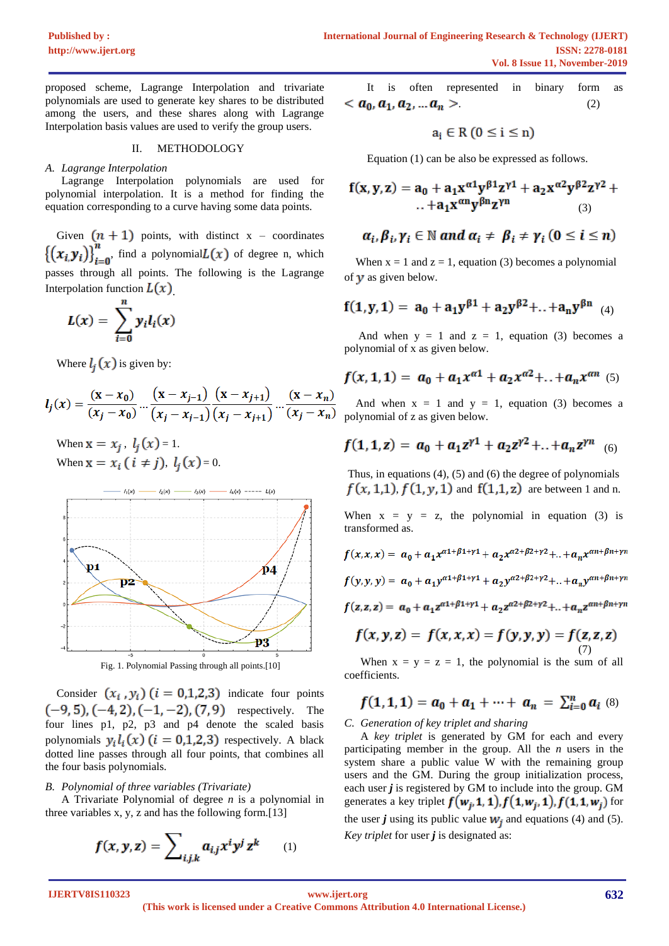proposed scheme, Lagrange Interpolation and trivariate polynomials are used to generate key shares to be distributed among the users, and these shares along with Lagrange Interpolation basis values are used to verify the group users.

### II. METHODOLOGY

#### *A. Lagrange Interpolation*

Lagrange Interpolation polynomials are used for polynomial interpolation. It is a method for finding the equation corresponding to a curve having some data points.

Given  $(n + 1)$  points, with distinct x – coordinates  $\left\{ (x_i, y_i) \right\}_{i=0}^n$ , find a polynomial $L(x)$  of degree n, which passes through all points. The following is the Lagrange Interpolation function  $L(x)$ 

$$
L(x) = \sum_{i=0}^{n} y_i l_i(x)
$$

Where  $l_i(x)$  is given by:

$$
l_j(x) = \frac{(x - x_0)}{(x_j - x_0)} \dots \frac{(x - x_{j-1})}{(x_j - x_{j-1})} \frac{(x - x_{j+1})}{(x_j - x_{j+1})} \dots \frac{(x - x_n)}{(x_j - x_n)}
$$

When  $\mathbf{x} = x_i$ ,  $l_i(x) = 1$ . When  $x = x_i$  (  $i \neq j$  ),  $l_i(x) = 0$ .



Consider  $(x_i, y_i)$   $(i = 0,1,2,3)$  indicate four points  $(-9, 5)$ ,  $(-4, 2)$ ,  $(-1, -2)$ ,  $(7, 9)$  respectively. The four lines p1, p2, p3 and p4 denote the scaled basis polynomials  $y_i l_i(x)$  ( $i = 0,1,2,3$ ) respectively. A black dotted line passes through all four points, that combines all the four basis polynomials.

#### *B. Polynomial of three variables (Trivariate)*

A Trivariate Polynomial of degree *n* is a polynomial in three variables x, y, z and has the following form.[13]

$$
f(x, y, z) = \sum_{i,j,k} a_{i,j} x^i y^j z^k \qquad (1)
$$

It is often represented in binary form as .  $(2)$ 

$$
a_i \in R (0 \le i \le n)
$$

Equation (1) can be also be expressed as follows.

$$
f(x,y,z) = a_0 + a_1 x^{\alpha 1} y^{\beta 1} z^{\gamma 1} + a_2 x^{\alpha 2} y^{\beta 2} z^{\gamma 2} + ... + a_1 x^{\alpha n} y^{\beta n} z^{\gamma n}
$$
 (3)

$$
\alpha_i, \beta_i, \gamma_i \in \mathbb{N} \text{ and } \alpha_i \neq \beta_i \neq \gamma_i \text{ } (0 \leq i \leq n)
$$

When  $x = 1$  and  $z = 1$ , equation (3) becomes a polynomial of  $\nu$  as given below.

$$
f(1, y, 1) = a_0 + a_1 y^{\beta 1} + a_2 y^{\beta 2} + ... + a_n y^{\beta n}
$$
 (4)

And when  $y = 1$  and  $z = 1$ , equation (3) becomes a polynomial of x as given below.

$$
f(x, 1, 1) = a_0 + a_1 x^{\alpha 1} + a_2 x^{\alpha 2} + ... + a_n x^{\alpha n}
$$
 (5)

And when  $x = 1$  and  $y = 1$ , equation (3) becomes a polynomial of z as given below.

$$
f(1,1,z) = a_0 + a_1 z^{\gamma 1} + a_2 z^{\gamma 2} + \ldots + a_n z^{\gamma n} \quad (6)
$$

Thus, in equations  $(4)$ ,  $(5)$  and  $(6)$  the degree of polynomials  $f(x, 1, 1), f(1, y, 1)$  and  $f(1, 1, z)$  are between 1 and n.

When  $x = y = z$ , the polynomial in equation (3) is transformed as.

$$
f(x, x, x) = a_0 + a_1 x^{\alpha_1 + \beta_1 + \gamma_1} + a_2 x^{\alpha_2 + \beta_2 + \gamma_2} + \ldots + a_n x^{\alpha_n + \beta_n + \gamma_n}
$$
  

$$
f(y, y, y) = a_0 + a_1 y^{\alpha_1 + \beta_1 + \gamma_1} + a_2 y^{\alpha_2 + \beta_2 + \gamma_2} + \ldots + a_n y^{\alpha_n + \beta_n + \gamma_n}
$$
  

$$
f(z, z, z) = a_0 + a_1 z^{\alpha_1 + \beta_1 + \gamma_1} + a_2 z^{\alpha_2 + \beta_2 + \gamma_2} + \ldots + a_n z^{\alpha_n + \beta_n + \gamma_n}
$$

$$
f(x, y, z) = f(x, x, x) = f(y, y, y) = f(z, z, z)
$$
<sup>(7)</sup>

When  $x = y = z = 1$ , the polynomial is the sum of all coefficients.

$$
f(1,1,1) = a_0 + a_1 + \cdots + a_n = \sum_{i=0}^n a_i \tag{8}
$$

*C. Generation of key triplet and sharing*

A *key triplet* is generated by GM for each and every participating member in the group. All the *n* users in the system share a public value W with the remaining group users and the GM. During the group initialization process, each user *j* is registered by GM to include into the group. GM generates a key triplet  $f(w_i, 1, 1)$ ,  $f(1, w_i, 1)$ ,  $f(1, 1, w_i)$  for the user *j* using its public value  $W_i$  and equations (4) and (5). *Key triplet* for user *j* is designated as: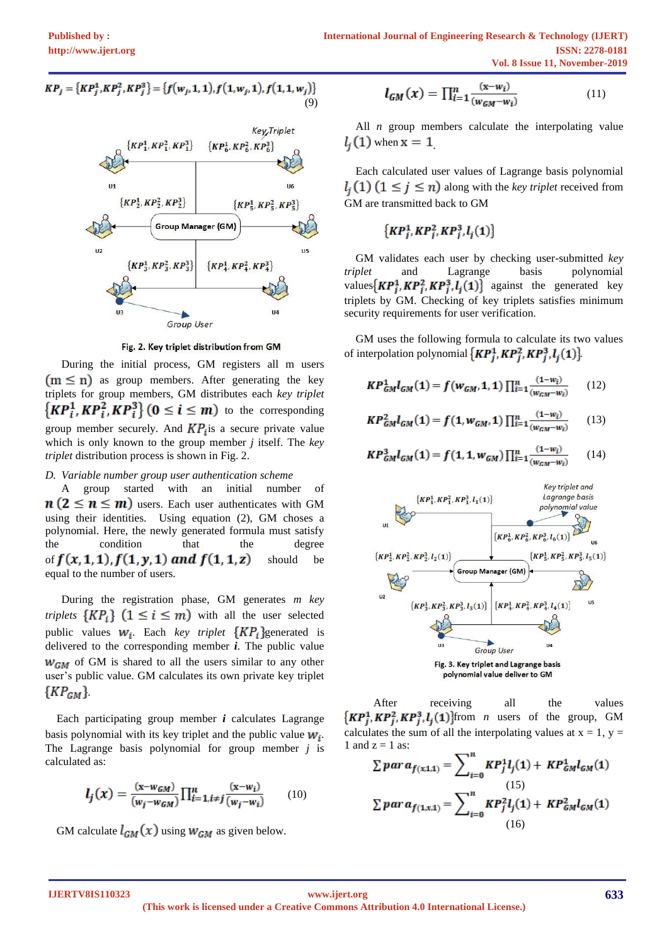$$
KP_j = \{KP_j^1, KP_j^2, KP_j^3\} = \{f(w_j, 1, 1), f(1, w_j, 1), f(1, 1, w_j)\}\
$$
\n(9)



Fig. 2. Key triplet distribution from GM

During the initial process, GM registers all m users  $(m \le n)$  as group members. After generating the key triplets for group members, GM distributes each *key triplet*  $\{KP_i^1, KP_i^2, KP_i^3\}$  ( $0 \le i \le m$ ) to the corresponding group member securely. And  $KP<sub>i</sub>$  is a secure private value which is only known to the group member *j* itself. The *key triplet* distribution process is shown in Fig. 2.

## *D. Variable number group user authentication scheme*

A group started with an initial number of  $n (2 \le n \le m)$  users. Each user authenticates with GM using their identities. Using equation (2), GM choses a polynomial. Here, the newly generated formula must satisfy the condition that the degree of  $f(x,1,1)$ ,  $f(1, y, 1)$  and  $f(1,1, z)$  should be equal to the number of users.

During the registration phase, GM generates *m key triplets*  $\{KP_i\}$   $(1 \leq i \leq m)$  with all the user selected public values  $W_i$ . Each *key triplet*  $\{KP_i\}$  generated is delivered to the corresponding member *i*. The public value  $W_{GM}$  of GM is shared to all the users similar to any other user's public value. GM calculates its own private key triplet  $\{KP_{GM}\}.$ 

Each participating group member *i* calculates Lagrange basis polynomial with its key triplet and the public value  $W_i$ . The Lagrange basis polynomial for group member *j* is calculated as:

$$
l_j(x) = \frac{(x - w_{GM})}{(w_j - w_{GM})} \prod_{i=1, i \neq j}^{n} \frac{(x - w_i)}{(w_j - w_i)}
$$
(10)

GM calculate  $l_{GM}(x)$  using  $W_{GM}$  as given below.

$$
l_{GM}(x) = \prod_{i=1}^{n} \frac{(x - w_i)}{(w_{GM} - w_i)}
$$
(11)

All *n* group members calculate the interpolating value  $l_i(1)$  when  $x = 1$ 

Each calculated user values of Lagrange basis polynomial  $l_i(1)$   $(1 \leq j \leq n)$  along with the *key triplet* received from GM are transmitted back to GM

$$
\left\{KP_j^1, KP_j^2, KP_j^3, l_j(1)\right\}
$$

GM validates each user by checking user-submitted *key triplet* and Lagrange basis polynomial values  $\{KP_i^1, KP_i^2, KP_i^3, l_i(1)\}$  against the generated key triplets by GM. Checking of key triplets satisfies minimum security requirements for user verification.

GM uses the following formula to calculate its two values of interpolation polynomial  $\{KP_i^1, KP_i^2, KP_i^3, l_i(1)\}$ 

$$
KP_{GM}^1l_{GM}(1) = f(w_{GM}, 1, 1) \prod_{i=1}^n \frac{(1-w_i)}{(w_{GM}-w_i)} \qquad (12)
$$

$$
KP_{GM}^2l_{GM}(1) = f(1, w_{GM}, 1) \prod_{i=1}^n \frac{(1-w_i)}{(w_{GM}-w_i)} \qquad (13)
$$

$$
KP_{GM}^3l_{GM}(1) = f(1, 1, w_{GM}) \prod_{i=1}^n \frac{(1-w_i)}{(w_{GM}-w_i)} \qquad (14)
$$



After receiving all the values  $\{KP_j^1, KP_j^2, KP_j^3, l_j(1)\}$ from *n* users of the group, GM calculates the sum of all the interpolating values at  $x = 1$ ,  $y =$ 1 and  $z = 1$  as:

$$
\sum par a_{f(x,1,1)} = \sum_{i=0}^{n} KP_j^1 l_j(1) + KP_{GM}^1 l_{GM}(1)
$$
  

$$
\sum par a_{f(1,x,1)} = \sum_{i=0}^{n} KP_j^2 l_j(1) + KP_{GM}^2 l_{GM}(1)
$$
  
(16)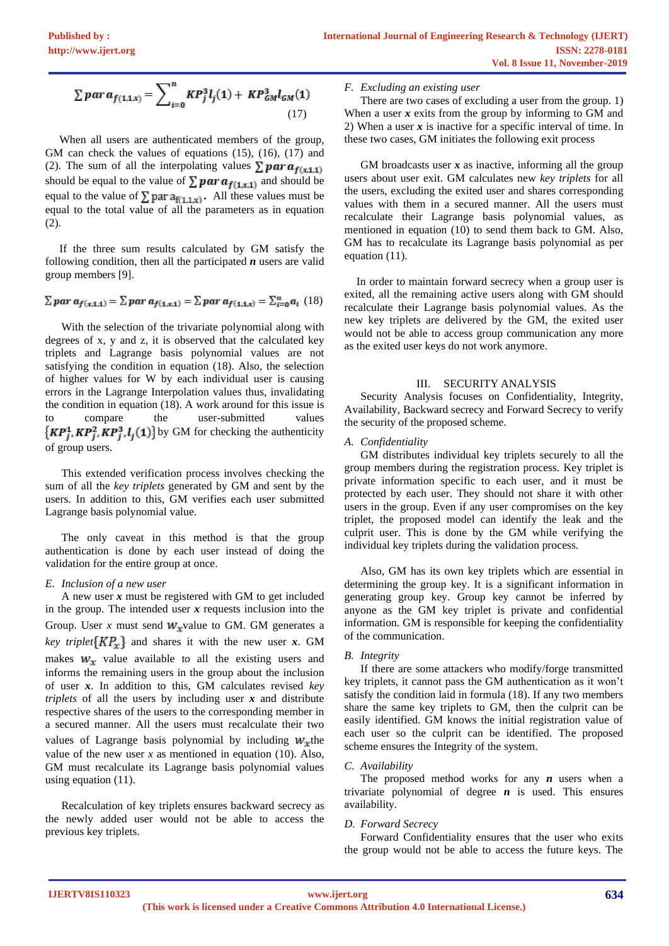$$
\sum par a_{f(1,1,x)} = \sum_{i=0}^{n} K P_j^3 l_j(1) + K P_{GM}^3 l_{GM}(1)
$$
\n(17)

 When all users are authenticated members of the group, GM can check the values of equations (15), (16), (17) and (2). The sum of all the interpolating values  $\sum \mathbf{par} a_{f(x,1,1)}$ should be equal to the value of  $\sum par a_{f(1,x,1)}$  and should be equal to the value of  $\sum$  par  $a_{f(1,1,x)}$ . All these values must be equal to the total value of all the parameters as in equation (2).

 If the three sum results calculated by GM satisfy the following condition, then all the participated *n* users are valid group members [9].

$$
\sum par \, a_{f(x,1,1)} = \sum par \, a_{f(1,x,1)} = \sum par \, a_{f(1,1,x)} = \sum_{i=0}^{n} a_i \tag{18}
$$

With the selection of the trivariate polynomial along with degrees of x, y and z, it is observed that the calculated key triplets and Lagrange basis polynomial values are not satisfying the condition in equation (18). Also, the selection of higher values for W by each individual user is causing errors in the Lagrange Interpolation values thus, invalidating the condition in equation (18). A work around for this issue is to compare the user-submitted values  $\{KP_j^1, KP_j^2, KP_j^3, l_j(1)\}$  by GM for checking the authenticity of group users.

This extended verification process involves checking the sum of all the *key triplets* generated by GM and sent by the users. In addition to this, GM verifies each user submitted Lagrange basis polynomial value.

The only caveat in this method is that the group authentication is done by each user instead of doing the validation for the entire group at once.

# *E. Inclusion of a new user*

A new user *x* must be registered with GM to get included in the group. The intended user *x* requests inclusion into the Group. User *x* must send  $W_x$  value to GM. GM generates a *key triplet* $\{KP_x\}$  and shares it with the new user *x*. GM makes  $w_x$  value available to all the existing users and informs the remaining users in the group about the inclusion of user *x*. In addition to this, GM calculates revised *key triplets* of all the users by including user *x* and distribute respective shares of the users to the corresponding member in a secured manner. All the users must recalculate their two values of Lagrange basis polynomial by including  $W<sub>x</sub>$ the value of the new user  $x$  as mentioned in equation (10). Also, GM must recalculate its Lagrange basis polynomial values using equation (11).

Recalculation of key triplets ensures backward secrecy as the newly added user would not be able to access the previous key triplets.

## *F. Excluding an existing user*

There are two cases of excluding a user from the group. 1) When a user  $x$  exits from the group by informing to GM and 2) When a user *x* is inactive for a specific interval of time. In these two cases, GM initiates the following exit process

GM broadcasts user x as inactive, informing all the group users about user exit. GM calculates new *key triplets* for all the users, excluding the exited user and shares corresponding values with them in a secured manner. All the users must recalculate their Lagrange basis polynomial values, as mentioned in equation (10) to send them back to GM. Also, GM has to recalculate its Lagrange basis polynomial as per equation (11).

In order to maintain forward secrecy when a group user is exited, all the remaining active users along with GM should recalculate their Lagrange basis polynomial values. As the new key triplets are delivered by the GM, the exited user would not be able to access group communication any more as the exited user keys do not work anymore.

## III. SECURITY ANALYSIS

Security Analysis focuses on Confidentiality, Integrity, Availability, Backward secrecy and Forward Secrecy to verify the security of the proposed scheme.

## *A. Confidentiality*

GM distributes individual key triplets securely to all the group members during the registration process. Key triplet is private information specific to each user, and it must be protected by each user. They should not share it with other users in the group. Even if any user compromises on the key triplet, the proposed model can identify the leak and the culprit user. This is done by the GM while verifying the individual key triplets during the validation process.

Also, GM has its own key triplets which are essential in determining the group key. It is a significant information in generating group key. Group key cannot be inferred by anyone as the GM key triplet is private and confidential information. GM is responsible for keeping the confidentiality of the communication.

## *B. Integrity*

If there are some attackers who modify/forge transmitted key triplets, it cannot pass the GM authentication as it won't satisfy the condition laid in formula (18). If any two members share the same key triplets to GM, then the culprit can be easily identified. GM knows the initial registration value of each user so the culprit can be identified. The proposed scheme ensures the Integrity of the system.

# *C. Availability*

The proposed method works for any *n* users when a trivariate polynomial of degree  $n$  is used. This ensures availability.

# *D. Forward Secrecy*

Forward Confidentiality ensures that the user who exits the group would not be able to access the future keys. The